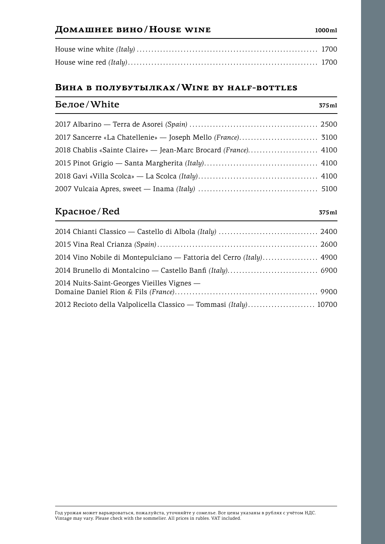#### Вина в полубутылках/WINE BY HALF-BOTTLES

#### Белое/White 375ml

### Красное/Red

## 2014 Vino Nobile di Montepulciano — Fattoria del Cerro (Italy).................... 4900 2014 Nuits-Saint-Georges Vieilles Vignes -2012 Recioto della Valpolicella Classico — Tommasi (Italy)......................... 10700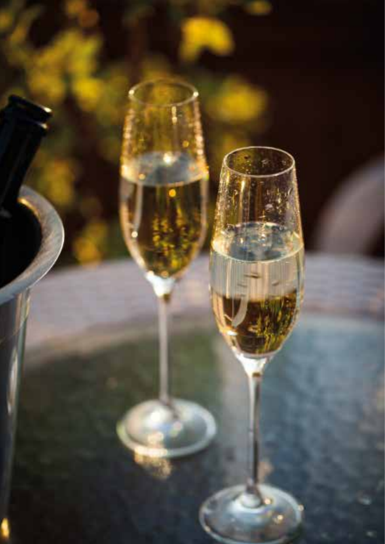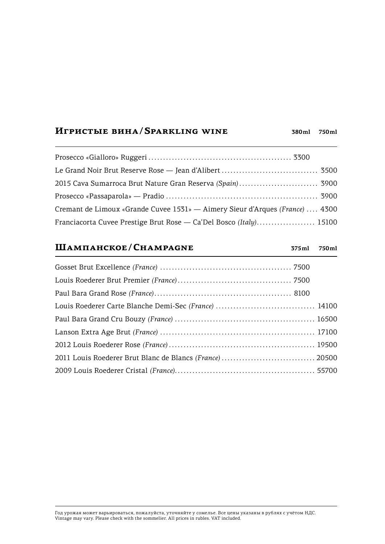#### ИГРИСТЫЕ ВИНА/SPARKLING WINE

| Cremant de Limoux «Grande Cuvee 1531» — Aimery Sieur d'Arques (France)  4300 |  |
|------------------------------------------------------------------------------|--|
| Franciacorta Cuvee Prestige Brut Rose — Ca'Del Bosco (Italy) 15100           |  |

#### ШАМПАНСКОЕ/СНАМРАGNE

375ml 750ml

Год урожая может варьироваться, пожалуйста, уточняйте у сомелье. Все цены указаны в рублях с учётом НДС.<br>Vintage may vary. Please check with the sommelier. All prices in rubles. VAT included.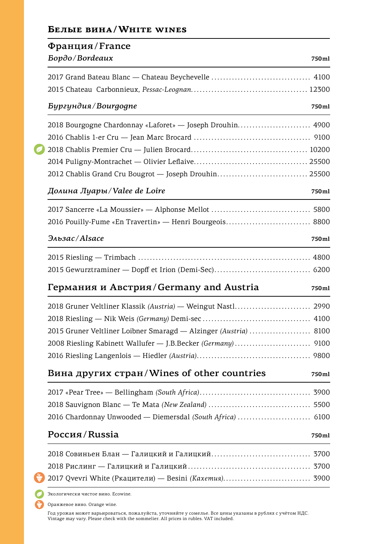#### Белые вина/White wines

# Франция/France

 $\overline{C}$ 

| $Bop\partial o/Bordeaux$                                         | 750ml |
|------------------------------------------------------------------|-------|
|                                                                  |       |
|                                                                  |       |
| Бургундия/Bourgogne                                              | 750ml |
| 2018 Bourgogne Chardonnay «Laforet» — Joseph Drouhin 4900        |       |
|                                                                  |       |
|                                                                  |       |
|                                                                  |       |
| 2012 Chablis Grand Cru Bougrot - Joseph Drouhin 25500            |       |
| Долина Луары / Valee de Loire                                    | 750ml |
|                                                                  |       |
| 2016 Pouilly-Fume «En Travertin» — Henri Bourgeois 8800          |       |
| Эльзас/Alsace                                                    | 750ml |
|                                                                  |       |
|                                                                  |       |
| Германия и Австрия/Germany and Austria                           | 750ml |
| 2018 Gruner Veltliner Klassik (Austria) - Weingut Nastl 2990     |       |
|                                                                  |       |
| 2015 Gruner Veltliner Loibner Smaragd - Alzinger (Austria)  8100 |       |
|                                                                  |       |
|                                                                  |       |
| Вина других стран/Wines of other countries                       | 750ml |
|                                                                  |       |
|                                                                  |       |
| 2016 Chardonnay Unwooded - Diemersdal (South Africa)  6100       |       |
| Россия/Russia                                                    | 750ml |
|                                                                  |       |
|                                                                  |       |
|                                                                  |       |
|                                                                  |       |

 $\boldsymbol{O}$ Экологически чистое вино. Ecowine.

Oранжевое вино. Orange wine.

RES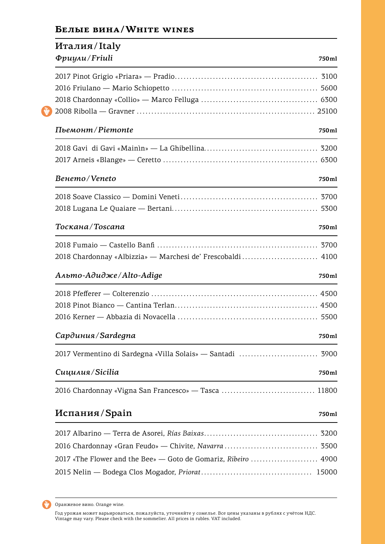#### Белые вина/White wines

| Италия/Italy<br>Фриули/Friuli | 750 ml |
|-------------------------------|--------|
|                               |        |
|                               |        |
|                               |        |
|                               |        |
| Пьемонт/Piemonte              | 750ml  |
|                               |        |
|                               |        |
| Венето/Veneto                 | 750ml  |
|                               |        |
|                               |        |
| Тоскана/Toscana               | 750ml  |
|                               |        |
|                               |        |
| Альто-Адидже/Alto-Adige       | 750ml  |
|                               |        |
|                               |        |
|                               |        |
| Сардиния/Sardegna             | 750ml  |
|                               |        |
| Cuuunua/Sicilia               | 750ml  |
|                               |        |
| Испания/Spain                 | 750ml  |
|                               |        |
|                               |        |
|                               |        |
|                               |        |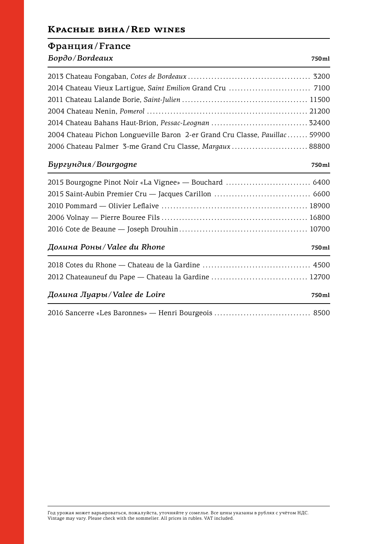#### **КРАСНЫЕ ВИНА/RED WINES**

### Франция/France  $\textit{Bopdo}/\textit{Bordeaux}$

| 2004 Chateau Pichon Longueville Baron 2-er Grand Cru Classe, Pauillac 59900 |  |
|-----------------------------------------------------------------------------|--|
| 2006 Chateau Palmer 3-me Grand Cru Classe, Margaux  88800                   |  |
|                                                                             |  |

#### $Bypzyn@ua/Bourgogne$

#### 750ml

| Долина Роны/Valee du Rhone                           | 750ml |
|------------------------------------------------------|-------|
|                                                      |       |
| 2012 Chateauneuf du Pape — Chateau la Gardine  12700 |       |
| Долина Луары/Valee de Loire                          | 750ml |
|                                                      |       |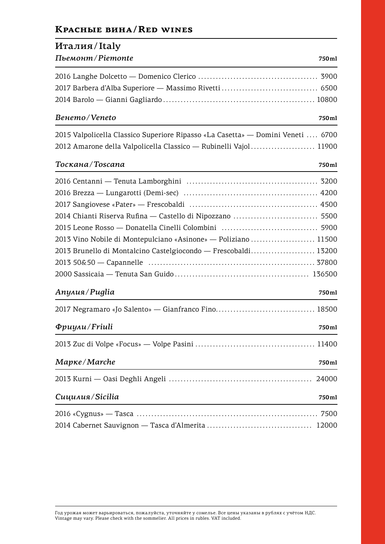#### **КРАСНЫЕ ВИНА/RED WINES**

# Италия/Italy

| $\Pi$ bemon $m/P$ iemonte                                                       | 750ml |
|---------------------------------------------------------------------------------|-------|
|                                                                                 |       |
|                                                                                 |       |
|                                                                                 |       |
| <b>Венето/Veneto</b>                                                            | 750ml |
| 2015 Valpolicella Classico Superiore Ripasso «La Casetta» — Domini Veneti  6700 |       |
| 2012 Amarone della Valpolicella Classico — Rubinelli Vajol 11900                |       |
| Тоскана/Toscana                                                                 | 750ml |
|                                                                                 |       |
|                                                                                 |       |
|                                                                                 |       |
|                                                                                 |       |
|                                                                                 |       |
| 2013 Vino Nobile di Montepulciano «Asinone» — Poliziano  11500                  |       |
| 2013 Brunello di Montalcino Castelgiocondo — Frescobaldi 13200                  |       |
|                                                                                 |       |
|                                                                                 |       |
| Anynua/Puglia                                                                   | 750ml |
|                                                                                 |       |
| $\Phi$ puy $\lambda u$ /Friuli                                                  | 750ml |
|                                                                                 |       |
| Mapke/Marche                                                                    | 750ml |
|                                                                                 |       |
| Cuuunua/Sicilia                                                                 | 750ml |
|                                                                                 |       |
|                                                                                 |       |

Год урожая может варьироваться, пожалуйста, уточняйте у сомелье. Все цены указаны в рублях с учётом НДС.<br>Vintage may vary. Please check with the sommelier. All prices in rubles. VAT included.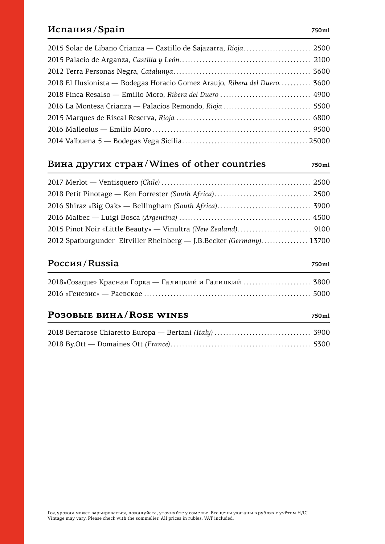### Испания/Spain

| 2015 Solar de Libano Crianza — Castillo de Sajazarra, Rioja 2500          |  |
|---------------------------------------------------------------------------|--|
|                                                                           |  |
|                                                                           |  |
| 2018 El Ilusionista — Bodegas Horacio Gomez Araujo, Ribera del Duero 3600 |  |
| 2018 Finca Resalso — Emilio Moro, Ribera del Duero  4900                  |  |
|                                                                           |  |
|                                                                           |  |
|                                                                           |  |
|                                                                           |  |

### Вина других стран/Wines of other countries

| 2012 Spatburgunder Eltviller Rheinberg - J.B.Becker (Germany) 13700 |  |
|---------------------------------------------------------------------|--|

| Россия/Russia | 750 m |
|---------------|-------|
|               |       |
|               |       |

| PO3OBLIE BUHA/ROSE WINES | 750 ml |
|--------------------------|--------|
|                          |        |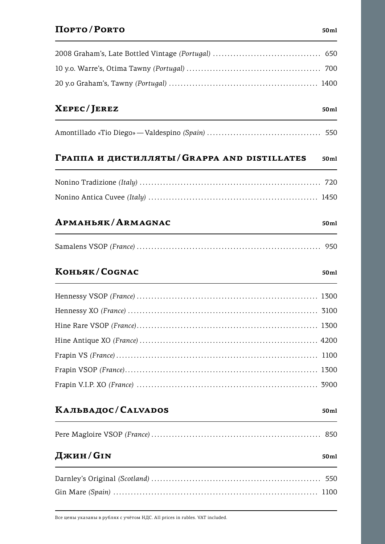| XEPEC/JEREZ                                | 50 <sub>ml</sub>  |
|--------------------------------------------|-------------------|
|                                            |                   |
| ГРАППА И ДИСТИЛЛЯТЫ/GRAPPA AND DISTILLATES | 50ml              |
|                                            |                   |
|                                            |                   |
| Арманьяк/Armagnac                          | 50 <sub>m</sub> 1 |
|                                            |                   |
| Коньяк/Сосмас                              | 50 <sub>ml</sub>  |
|                                            |                   |
|                                            |                   |
|                                            |                   |
|                                            |                   |
|                                            | 1100              |
|                                            |                   |
|                                            |                   |
| Кальвадос/Calvados                         | 50ml              |
|                                            | 850               |
| Джин/ GIN                                  | 50ml              |
|                                            |                   |
|                                            |                   |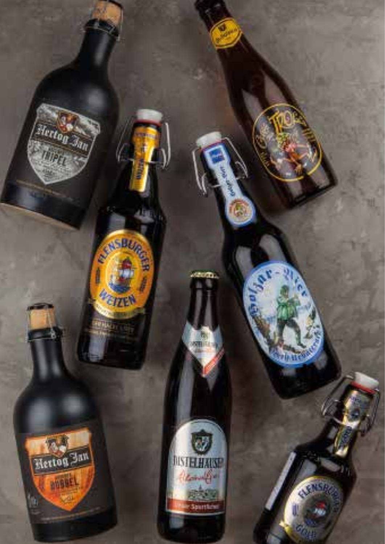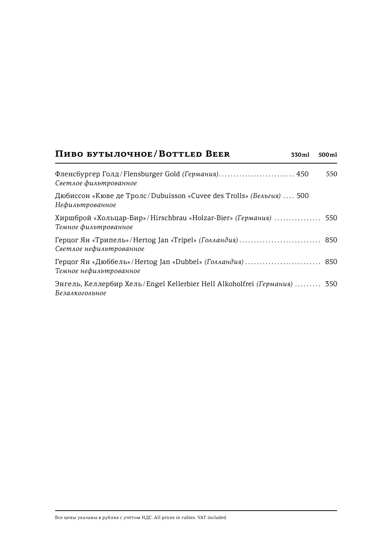| Пиво бутылочное/BOTTLED BEER                                                               | 330ml | 500ml |
|--------------------------------------------------------------------------------------------|-------|-------|
| Светлое фильтрованное                                                                      |       | 550   |
| Дюбиссон «Кюве де Тролс/Dubuisson «Cuvee des Trolls» (Бельгия)  500<br>Нефильтрованное     |       |       |
| Хиршброй «Хольцар-Бир»/Hirschbrau «Holzar-Bier» (Германия)  550<br>Темное фильтрованное    |       |       |
| Светлое нефильтрованное                                                                    |       |       |
| Темное нефильтрованное                                                                     |       |       |
| Энгель, Келлербир Хель/Engel Kellerbier Hell Alkoholfrei (Германия)  350<br>Безалкогольное |       |       |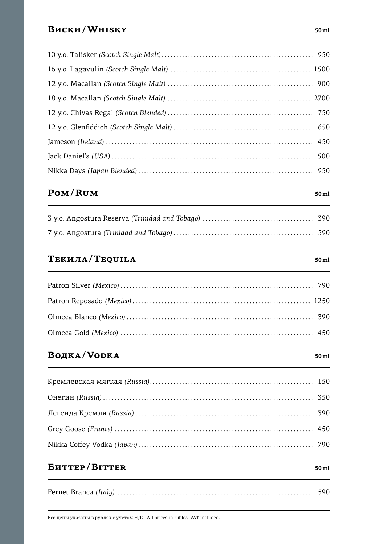#### **Виски/WHISKY**

| POM/RUM<br>50ml              |
|------------------------------|
|                              |
|                              |
| Текила/Теquila<br>50ml       |
|                              |
|                              |
|                              |
|                              |
| Водка/Уорка<br>50ml          |
| 150                          |
| 350                          |
| 390                          |
| 450                          |
| 790                          |
| <b>BUTTEP/BITTER</b><br>50ml |
| 590                          |

Все цены указаны в рублях с учётом НДС. All prices in rubles. VAT included.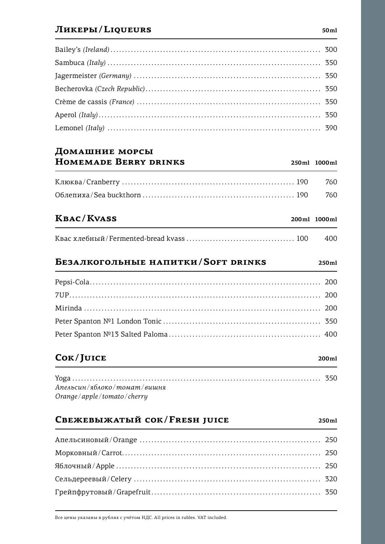#### Ликеры/Liqueurs

#### Домашние морсы **HOMEMADE BERRY DRINKS**

| KBAC/KVASS | 200ml 1000ml |  |
|------------|--------------|--|
|            |              |  |

|  | -400 |
|--|------|

#### БЕЗАЛКОГОЛЬНЫЕ НАПИТКИ/SOFT DRINKS  $250ml$

### COK/JUICE

Апельсин/яблоко/томат/вишня Orange/apple/tomato/cherry

## Свежевыжатый сок/Fresh juice

# 

Все цены указаны в рублях с учётом НДС. All prices in rubles. VAT included.

250ml 1000ml

 $200ml$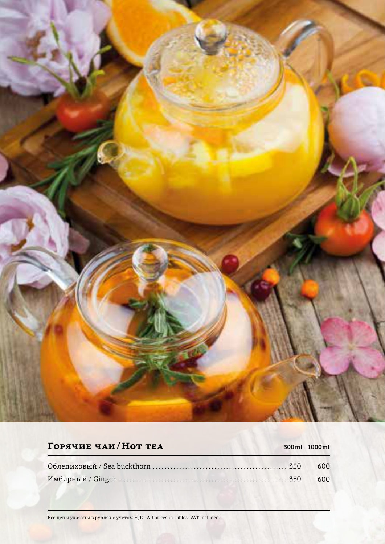

| Горячие чаи/Нот теа | 300ml 1000ml |
|---------------------|--------------|
|                     | 600.         |
|                     | 600          |

Все цены указаны в рублях с учётом НДС. All prices in rubles. VAT included.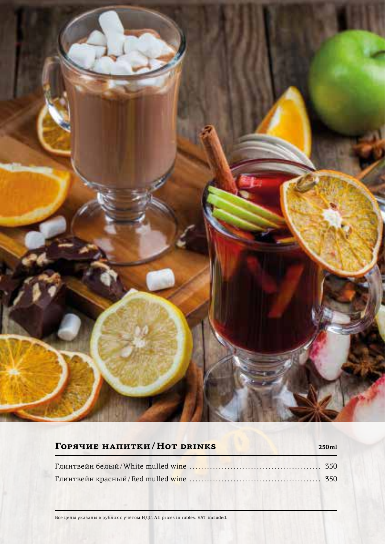

| Горячие напитки/Hot Drinks | 250ml |
|----------------------------|-------|
|                            |       |
|                            |       |